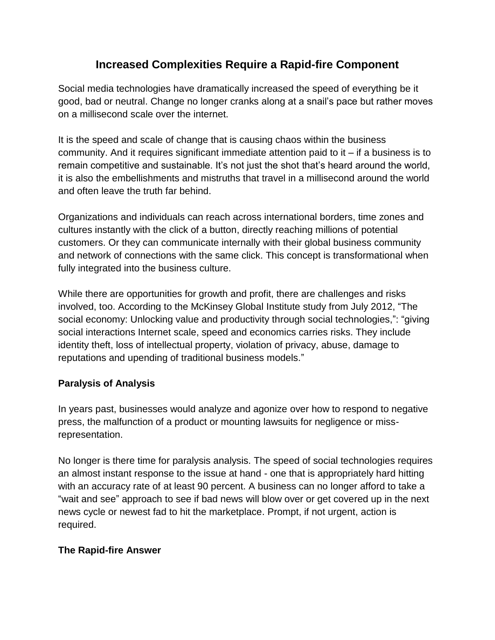## **Increased Complexities Require a Rapid-fire Component**

Social media technologies have dramatically increased the speed of everything be it good, bad or neutral. Change no longer cranks along at a snail's pace but rather moves on a millisecond scale over the internet.

It is the speed and scale of change that is causing chaos within the business community. And it requires significant immediate attention paid to it – if a business is to remain competitive and sustainable. It's not just the shot that's heard around the world, it is also the embellishments and mistruths that travel in a millisecond around the world and often leave the truth far behind.

Organizations and individuals can reach across international borders, time zones and cultures instantly with the click of a button, directly reaching millions of potential customers. Or they can communicate internally with their global business community and network of connections with the same click. This concept is transformational when fully integrated into the business culture.

While there are opportunities for growth and profit, there are challenges and risks involved, too. According to the McKinsey Global Institute study from July 2012, "The social economy: Unlocking value and productivity through social technologies,": "giving social interactions Internet scale, speed and economics carries risks. They include identity theft, loss of intellectual property, violation of privacy, abuse, damage to reputations and upending of traditional business models."

## **Paralysis of Analysis**

In years past, businesses would analyze and agonize over how to respond to negative press, the malfunction of a product or mounting lawsuits for negligence or missrepresentation.

No longer is there time for paralysis analysis. The speed of social technologies requires an almost instant response to the issue at hand - one that is appropriately hard hitting with an accuracy rate of at least 90 percent. A business can no longer afford to take a "wait and see" approach to see if bad news will blow over or get covered up in the next news cycle or newest fad to hit the marketplace. Prompt, if not urgent, action is required.

## **The Rapid-fire Answer**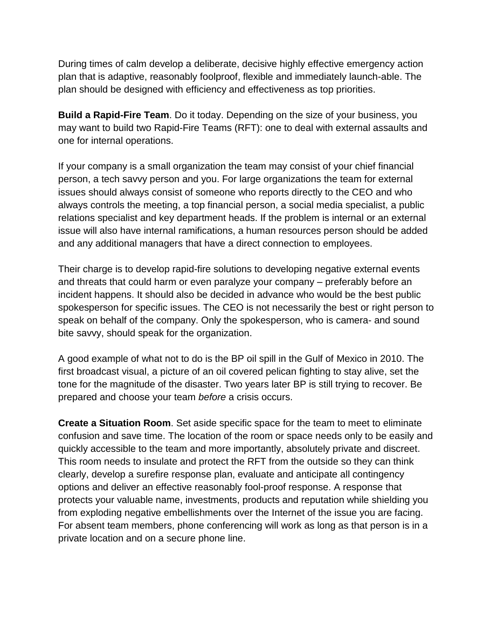During times of calm develop a deliberate, decisive highly effective emergency action plan that is adaptive, reasonably foolproof, flexible and immediately launch-able. The plan should be designed with efficiency and effectiveness as top priorities.

**Build a Rapid-Fire Team**. Do it today. Depending on the size of your business, you may want to build two Rapid-Fire Teams (RFT): one to deal with external assaults and one for internal operations.

If your company is a small organization the team may consist of your chief financial person, a tech savvy person and you. For large organizations the team for external issues should always consist of someone who reports directly to the CEO and who always controls the meeting, a top financial person, a social media specialist, a public relations specialist and key department heads. If the problem is internal or an external issue will also have internal ramifications, a human resources person should be added and any additional managers that have a direct connection to employees.

Their charge is to develop rapid-fire solutions to developing negative external events and threats that could harm or even paralyze your company – preferably before an incident happens. It should also be decided in advance who would be the best public spokesperson for specific issues. The CEO is not necessarily the best or right person to speak on behalf of the company. Only the spokesperson, who is camera- and sound bite savvy, should speak for the organization.

A good example of what not to do is the BP oil spill in the Gulf of Mexico in 2010. The first broadcast visual, a picture of an oil covered pelican fighting to stay alive, set the tone for the magnitude of the disaster. Two years later BP is still trying to recover. Be prepared and choose your team *before* a crisis occurs.

**Create a Situation Room**. Set aside specific space for the team to meet to eliminate confusion and save time. The location of the room or space needs only to be easily and quickly accessible to the team and more importantly, absolutely private and discreet. This room needs to insulate and protect the RFT from the outside so they can think clearly, develop a surefire response plan, evaluate and anticipate all contingency options and deliver an effective reasonably fool-proof response. A response that protects your valuable name, investments, products and reputation while shielding you from exploding negative embellishments over the Internet of the issue you are facing. For absent team members, phone conferencing will work as long as that person is in a private location and on a secure phone line.